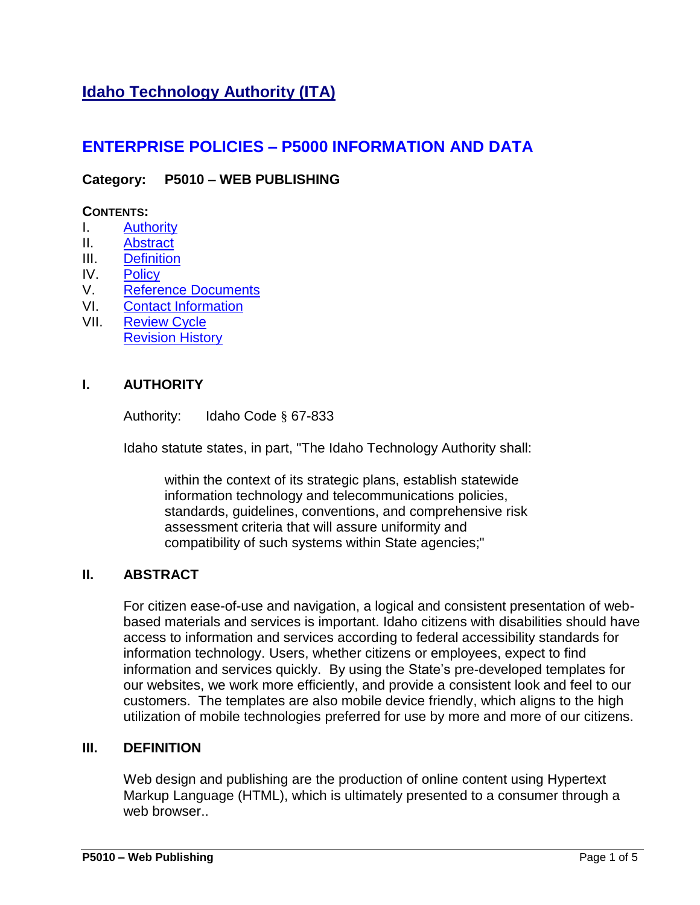# **Idaho Technology Authority (ITA)**

## **ENTERPRISE POLICIES – P5000 INFORMATION AND DATA**

## **Category: P5010 – WEB PUBLISHING**

#### **CONTENTS:**

- I. [Authority](#page-0-0)
- II. [Abstract](#page-0-1)
- III. [Definition](#page-0-2)
- IV. [Policy](#page-1-0)
- V. Reference [Documents](#page-3-0)
- VI. [Contact Information](#page-3-1)
- VII. [Review Cycle](#page-3-2) [Revision History](#page-3-3)

#### **I. AUTHORITY**

<span id="page-0-0"></span>Authority: Idaho Code § 67-833

Idaho statute states, in part, "The Idaho Technology Authority shall:

within the context of its strategic plans, establish statewide information technology and telecommunications policies, standards, guidelines, conventions, and comprehensive risk assessment criteria that will assure uniformity and compatibility of such systems within State agencies;"

#### **II. ABSTRACT**

<span id="page-0-1"></span>For citizen ease-of-use and navigation, a logical and consistent presentation of webbased materials and services is important. Idaho citizens with disabilities should have access to information and services according to federal accessibility standards for information technology. Users, whether citizens or employees, expect to find information and services quickly. By using the State's pre-developed templates for our websites, we work more efficiently, and provide a consistent look and feel to our customers. The templates are also mobile device friendly, which aligns to the high utilization of mobile technologies preferred for use by more and more of our citizens.

#### **III. DEFINITION**

<span id="page-0-2"></span>Web design and publishing are the production of online content using Hypertext Markup Language (HTML), which is ultimately presented to a consumer through a web browser..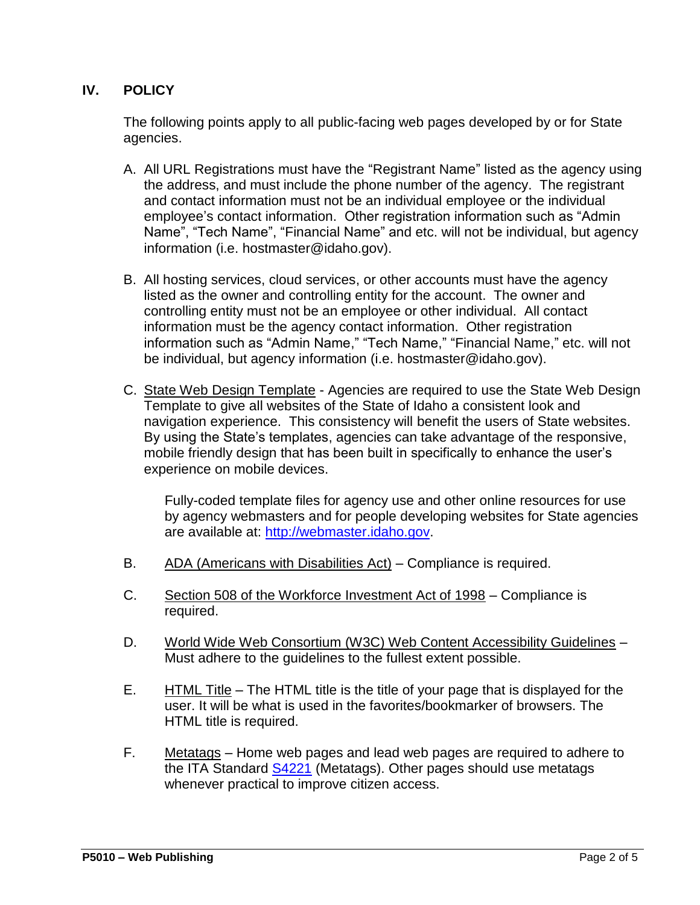## **IV. POLICY**

<span id="page-1-0"></span>The following points apply to all public-facing web pages developed by or for State agencies.

- A. All URL Registrations must have the "Registrant Name" listed as the agency using the address, and must include the phone number of the agency. The registrant and contact information must not be an individual employee or the individual employee's contact information. Other registration information such as "Admin Name", "Tech Name", "Financial Name" and etc. will not be individual, but agency information (i.e. [hostmaster@idaho.gov\)](mailto:hostmaster@idaho.gov).
- B. All hosting services, cloud services, or other accounts must have the agency listed as the owner and controlling entity for the account. The owner and controlling entity must not be an employee or other individual. All contact information must be the agency contact information. Other registration information such as "Admin Name," "Tech Name," "Financial Name," etc. will not be individual, but agency information (i.e. [hostmaster@idaho.gov\)](mailto:hostmaster@idaho.gov).
- C. State Web Design Template Agencies are required to use the State Web Design Template to give all websites of the State of Idaho a consistent look and navigation experience. This consistency will benefit the users of State websites. By using the State's templates, agencies can take advantage of the responsive, mobile friendly design that has been built in specifically to enhance the user's experience on mobile devices.

Fully-coded template files for agency use and other online resources for use by agency webmasters and for people developing websites for State agencies are available at: [http://webmaster.idaho.gov.](http://webmaster.idaho.gov/)

- B. ADA (Americans with Disabilities Act) Compliance is required.
- C. Section 508 of the Workforce Investment Act of 1998 Compliance is required.
- D. World Wide Web Consortium (W3C) Web Content Accessibility Guidelines Must adhere to the guidelines to the fullest extent possible.
- E. HTML Title The HTML title is the title of your page that is displayed for the user. It will be what is used in the favorites/bookmarker of browsers. The HTML title is required.
- F. Metatags Home web pages and lead web pages are required to adhere to the ITA Standard [S4221](http://ita.idaho.gov/psg/s4221.pdf) (Metatags). Other pages should use metatags whenever practical to improve citizen access.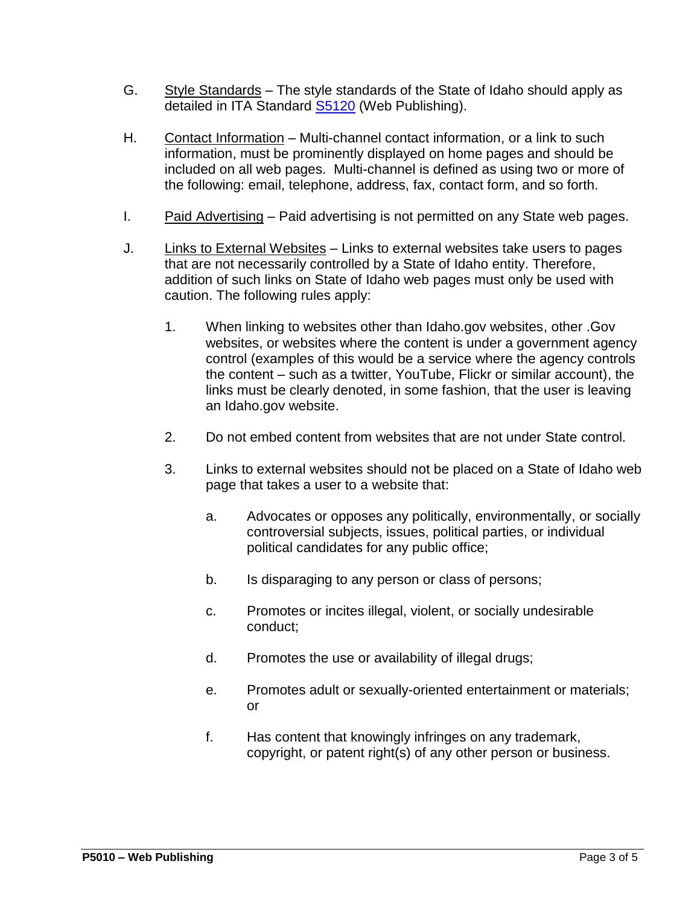- G. Style Standards The style standards of the State of Idaho should apply as detailed in ITA Standard [S5120](http://ita.idaho.gov/psg/s5120.pdf) (Web Publishing).
- H. Contact Information Multi-channel contact information, or a link to such information, must be prominently displayed on home pages and should be included on all web pages. Multi-channel is defined as using two or more of the following: email, telephone, address, fax, contact form, and so forth.
- I. Paid Advertising Paid advertising is not permitted on any State web pages.
- J. Links to External Websites Links to external websites take users to pages that are not necessarily controlled by a State of Idaho entity. Therefore, addition of such links on State of Idaho web pages must only be used with caution. The following rules apply:
	- 1. When linking to websites other than Idaho.gov websites, other .Gov websites, or websites where the content is under a government agency control (examples of this would be a service where the agency controls the content – such as a twitter, YouTube, Flickr or similar account), the links must be clearly denoted, in some fashion, that the user is leaving an Idaho.gov website.
	- 2. Do not embed content from websites that are not under State control.
	- 3. Links to external websites should not be placed on a State of Idaho web page that takes a user to a website that:
		- a. Advocates or opposes any politically, environmentally, or socially controversial subjects, issues, political parties, or individual political candidates for any public office;
		- b. Is disparaging to any person or class of persons;
		- c. Promotes or incites illegal, violent, or socially undesirable conduct;
		- d. Promotes the use or availability of illegal drugs;
		- e. Promotes adult or sexually-oriented entertainment or materials; or
		- f. Has content that knowingly infringes on any trademark, copyright, or patent right(s) of any other person or business.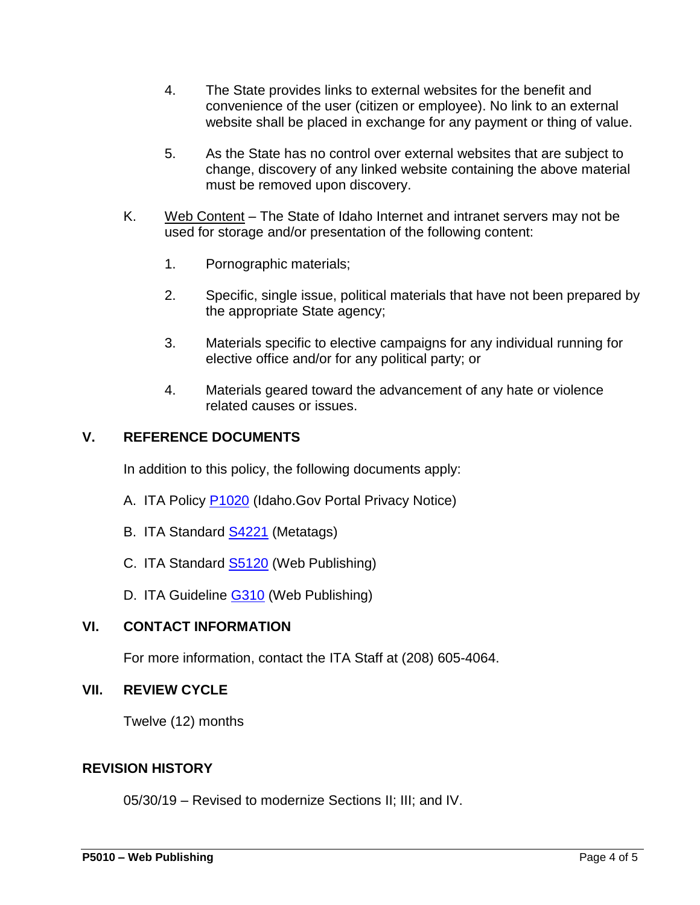- 4. The State provides links to external websites for the benefit and convenience of the user (citizen or employee). No link to an external website shall be placed in exchange for any payment or thing of value.
- 5. As the State has no control over external websites that are subject to change, discovery of any linked website containing the above material must be removed upon discovery.
- K. Web Content The State of Idaho Internet and intranet servers may not be used for storage and/or presentation of the following content:
	- 1. Pornographic materials;
	- 2. Specific, single issue, political materials that have not been prepared by the appropriate State agency;
	- 3. Materials specific to elective campaigns for any individual running for elective office and/or for any political party; or
	- 4. Materials geared toward the advancement of any hate or violence related causes or issues.

#### **V. REFERENCE DOCUMENTS**

<span id="page-3-0"></span>In addition to this policy, the following documents apply:

- A. ITA Policy **P1020** (Idaho.Gov Portal Privacy Notice)
- B. ITA Standard [S4221](https://ita.idaho.gov/psg/s4221.pdf) (Metatags)
- C. ITA Standard **S5120** (Web Publishing)
- <span id="page-3-1"></span>D. ITA Guideline [G310](https://ita.idaho.gov/psg/g310.pdf) (Web Publishing)

## **VI. CONTACT INFORMATION**

For more information, contact the ITA Staff at (208) 605-4064.

#### <span id="page-3-2"></span>**VII. REVIEW CYCLE**

Twelve (12) months

#### <span id="page-3-3"></span>**REVISION HISTORY**

05/30/19 – Revised to modernize Sections II; III; and IV.